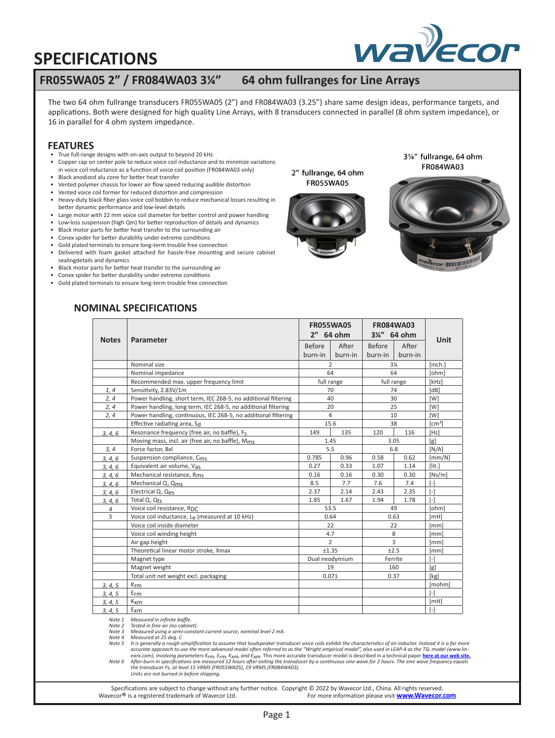

### **FR055WA05 2" / FR084WA03 3¼" 64 ohm fullranges for Line Arrays**

The two 64 ohm fullrange transducers FR055WA05 (2") and FR084WA03 (3.25") share same design ideas, performance targets, and applications. Both were designed for high quality Line Arrays, with 8 transducers connected in parallel (8 ohm system impedance), or 16 in parallel for 4 ohm system impedance.

#### **FEATURES**

- True full-range designs with on-axis output to beyond 20 kHz
- Copper cap on center pole to reduce voice coil inductance and to minimize variations in voice coil inductance as a function of voice coil position (FR084WA03 only)
- Black anodized alu cone for better heat transfer
- Vented polymer chassis for lower air flow speed reducing audible distortion
- Vented voice coil former for reduced distortion and compression
- Heavy-duty black fiber glass voice coil bobbin to reduce mechanical losses resulting in better dynamic performance and low-level details
- Large motor with 22 mm voice coil diameter for better control and power handling
- Low-loss suspension (high Qm) for better reproduction of details and dynamics
- Black motor parts for better heat transfer to the surrounding air
- Conex spider for better durability under extreme conditions
- Gold plated terminals to ensure long-term trouble free connection • Delivered with foam gasket attached for hassle-free mounting and secure cabinet
- sealingdetails and dynamics
- Black motor parts for better heat transfer to the surrounding air
- Conex spider for better durability under extreme conditions
- Gold plated terminals to ensure long-term trouble free connection

2" fullrange, 64 ohm **FR055WA05** 



31/4" fullrange, 64 ohm FR084WA03



### **NOMINAL SPECIFICATIONS**

|                | Parameter                                                      | <b>FR055WA05</b>         |                | <b>FR084WA03</b> |                | Unit              |
|----------------|----------------------------------------------------------------|--------------------------|----------------|------------------|----------------|-------------------|
| <b>Notes</b>   |                                                                | 2" 64 ohm                |                | 3¼" 64 ohm       |                |                   |
|                |                                                                | <b>Before</b>            | After          | <b>Before</b>    | After          |                   |
|                |                                                                | burn-in                  | burn-in        | burn-in          | burn-in        |                   |
|                | Nominal size                                                   |                          | $\mathcal{P}$  |                  | $3\frac{1}{4}$ | [inch.]           |
|                | Nominal impedance                                              |                          | 64             |                  | 64             | [ohm]             |
|                | Recommended max. upper frequency limit                         | full range<br>full range |                |                  | [kHz]          |                   |
| 1, 4           | Sensitivity, 2.83V/1m                                          | 70<br>74                 |                |                  | [dB]           |                   |
| 2, 4           | Power handling, short term, IEC 268-5, no additional filtering |                          | 40             |                  | 30             | [W]               |
| 2, 4           | Power handling, long term, IEC 268-5, no additional filtering  | 25<br>20                 |                |                  | [W]            |                   |
| 2, 4           | Power handling, continuous, IEC 268-5, no additional filtering | 4                        |                | 10               |                | [W]               |
|                | Effective radiating area, Sd                                   |                          | 15.6           |                  | 38             | $\text{[cm}^2$    |
| 3, 4, 6        | Resonance frequency (free air, no baffle), Fs                  | 149                      | 135            | 120              | 116            | [Hz]              |
|                | Moving mass, incl. air (free air, no baffle), Mms              |                          | 1.45           |                  | 3.05           | [g]               |
| 3, 4           | Force factor. Bxl                                              | 5.5                      |                | 6.8              |                | IN/A              |
| 3, 4, 6        | Suspension compliance, C <sub>ms</sub>                         | 0.785                    | 0.96           | 0.58             | 0.62           | [mm/N]            |
| 3, 4, 6        | Equivalent air volume, Vas                                     | 0.27                     | 0.33           | 1.07             | 1.14           | $[$ lit.]         |
| 3, 4, 6        | Mechanical resistance, R <sub>ms</sub>                         | 0.16                     | 0.16           | 0.30             | 0.30           | [Ns/m]            |
| 3, 4, 6        | Mechanical Q, Qms                                              | 8.5                      | 7.7            | 7.6              | 7.4            | $[$               |
| 3, 4, 6        | Electrical Q, Qes                                              | 2.37                     | 2.14           | 2.43             | 2.35           | $[ - ]$           |
| 3, 4, 6        | Total Q, Qts                                                   | 1.85                     | 1.67           | 1.94             | 1.78           | $\lceil - \rceil$ |
| $\overline{4}$ | Voice coil resistance, RDC                                     |                          | 53.5           |                  | 49             | [ohm]             |
| 5              | Voice coil inductance, Le (measured at 10 kHz)                 |                          | 0.64           |                  | 0.63           | [MH]              |
|                | Voice coil inside diameter                                     |                          | 22             |                  | 22             | [mm]              |
|                | Voice coil winding height                                      |                          | 4.7            |                  | 8              | [mm]              |
|                | Air gap height                                                 |                          | $\overline{2}$ |                  | 3              | [mm]              |
|                | Theoretical linear motor stroke, Xmax                          |                          | ±1.35          |                  | ±2.5           | [mm]              |
|                | Magnet type                                                    |                          | Dual neodymium |                  | Ferrite        | $[\cdot]$         |
|                | Magnet weight                                                  |                          | 19             |                  | 160            | [g]               |
|                | Total unit net weight excl. packaging                          |                          | 0.071          |                  | 0.37           | [kg]              |
| 3, 4, 5        | Krm                                                            |                          |                |                  |                | [mohm]            |
| 3, 4, 5        | $E_{rm}$                                                       |                          |                |                  |                | $\lceil - \rceil$ |
| 3, 4, 5        | $K_{\text{X}}$                                                 |                          |                |                  |                | [MH]              |
| 3, 4, 5        | $E_{X}$ m                                                      |                          |                |                  |                | $[ - ]$           |

*Note 1 Measured in infinite baffle.*

*Note 2 Tested in free air (no cabinet). Note 3 Measured using a semi-constant current source, nominal level 2 mA. Note 4 Measured at 25 deg. C*

*Note 5 It is generally a rough simplification to assume that loudspeaker transducer voice coils exhibit the characteristics of an inductor. Instead it is a far more accurate approach to use the more advanced model often referred to as the "Wright empirical model", also used in LEAP-4 as the TSL model (www.lin*earx.com), involving parameters K<sub>rm</sub>, E<sub>rm</sub>, K<sub>xm</sub>, and E<sub>xm</sub>. This more accurate transducer model is described in a technical paper <u>[here at our web site.](http://www.wavecor.com/Transducer_equivalent_circuit.pdf)</u><br>Note 6 After-burn-in specifications are measured 12 hours after

*Units are not burned in before shipping.* 

Specifications are subject to change without any further notice. Copyright © 2022 by Wavecor Ltd., China. All rights reserved.<br>For more information please visit www.Wavecor.<br>For more information please visit www.Wavecor. For more information please visit **www.Wavecor.com**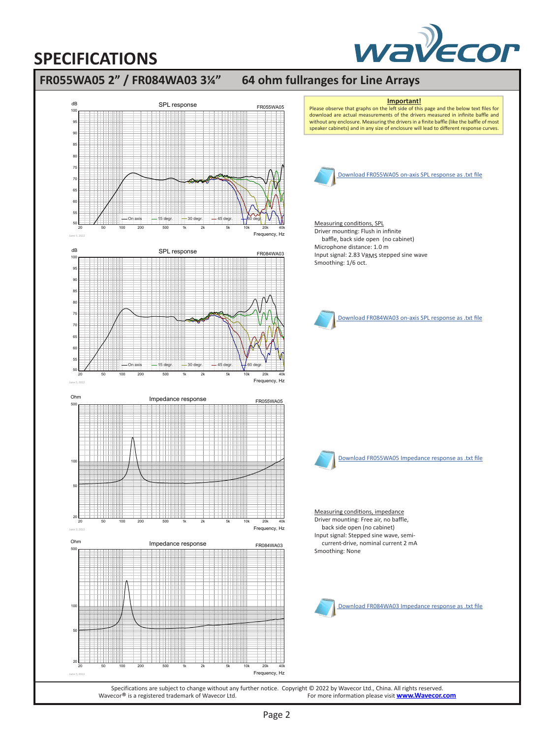

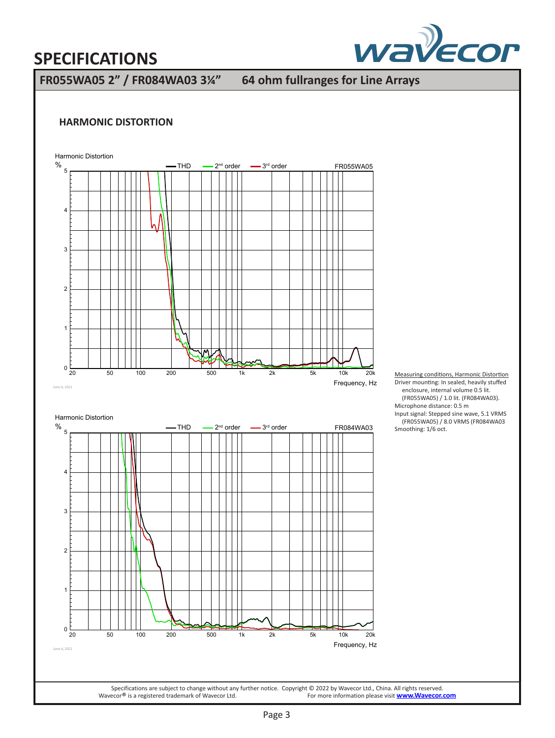

**FR055WA05 2" / FR084WA03 3¼" 64 ohm fullranges for Line Arrays**

### **HARMONIC DISTORTION**



Measuring conditions, Harmonic Distortion Driver mounting: In sealed, heavily stuffed enclosure, internal volume 0.5 lit. (FR055WA05) / 1.0 lit. (FR084WA03). Microphone distance: 0.5 m Input signal: Stepped sine wave, 5.1 VRMS (FR055WA05) / 8.0 VRMS (FR084WA03 Smoothing: 1/6 oct.

Specifications are subject to change without any further notice. Copyright © 2022 by Wavecor Ltd., China. All rights reserved.<br>For more information please visit **www.Wavecor.**<br>For more information please visit **www.Wavecor** For more information please visit **www.Wavecor.com**